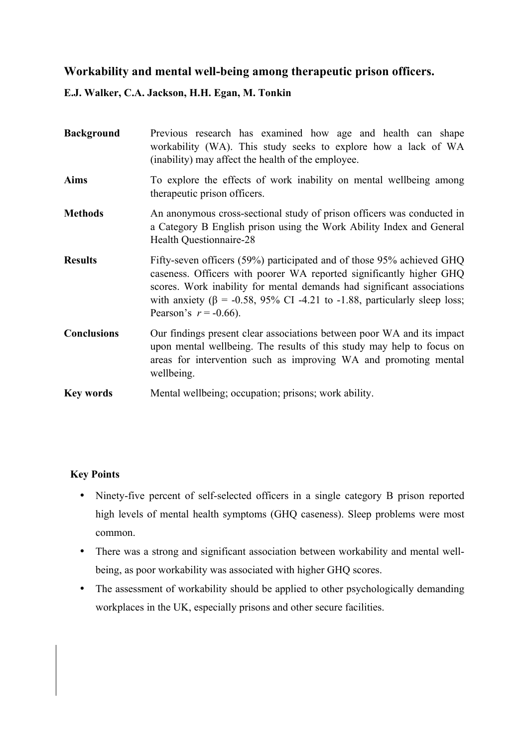# **Workability and mental well-being among therapeutic prison officers.**

## **E.J. Walker, C.A. Jackson, H.H. Egan, M. Tonkin**

| <b>Background</b>  | Previous research has examined how age and health can shape<br>workability (WA). This study seeks to explore how a lack of WA<br>(inability) may affect the health of the employee.                                                                                                                                                   |  |  |  |  |  |  |  |
|--------------------|---------------------------------------------------------------------------------------------------------------------------------------------------------------------------------------------------------------------------------------------------------------------------------------------------------------------------------------|--|--|--|--|--|--|--|
| Aims               | To explore the effects of work inability on mental wellbeing among<br>therapeutic prison officers.                                                                                                                                                                                                                                    |  |  |  |  |  |  |  |
| Methods            | An anonymous cross-sectional study of prison officers was conducted in<br>a Category B English prison using the Work Ability Index and General<br>Health Questionnaire-28                                                                                                                                                             |  |  |  |  |  |  |  |
| <b>Results</b>     | Fifty-seven officers (59%) participated and of those 95% achieved GHQ<br>caseness. Officers with poorer WA reported significantly higher GHQ<br>scores. Work inability for mental demands had significant associations<br>with anxiety ( $\beta$ = -0.58, 95% CI -4.21 to -1.88, particularly sleep loss;<br>Pearson's $r = -0.66$ ). |  |  |  |  |  |  |  |
| <b>Conclusions</b> | Our findings present clear associations between poor WA and its impact<br>upon mental wellbeing. The results of this study may help to focus on<br>areas for intervention such as improving WA and promoting mental<br>wellbeing.                                                                                                     |  |  |  |  |  |  |  |
| Key words          | Mental wellbeing; occupation; prisons; work ability.                                                                                                                                                                                                                                                                                  |  |  |  |  |  |  |  |

## **Key Points**

- Ninety-five percent of self-selected officers in a single category B prison reported high levels of mental health symptoms (GHQ caseness). Sleep problems were most common.
- There was a strong and significant association between workability and mental wellbeing, as poor workability was associated with higher GHQ scores.
- The assessment of workability should be applied to other psychologically demanding workplaces in the UK, especially prisons and other secure facilities.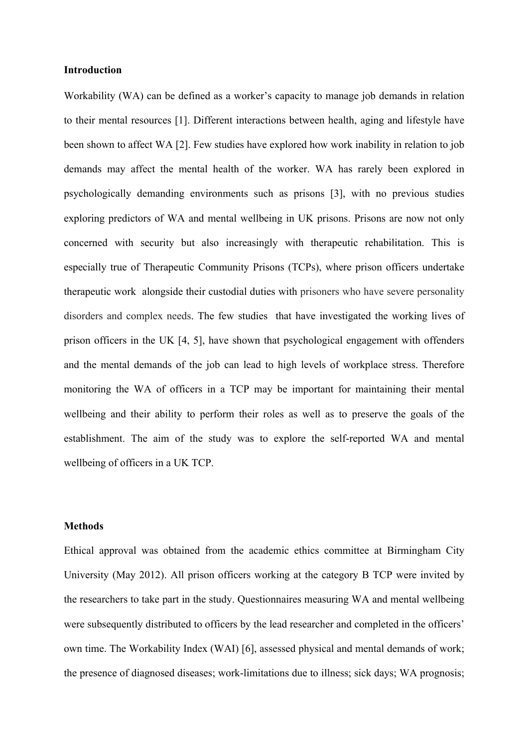#### **Introduction**

Workability (WA) can be defined as a worker's capacity to manage job demands in relation to their mental resources [1]. Different interactions between health, aging and lifestyle have been shown to affect WA [2]. Few studies have explored how work inability in relation to job demands may affect the mental health of the worker. WA has rarely been explored in psychologically demanding environments such as prisons [3], with no previous studies exploring predictors of WA and mental wellbeing in UK prisons. Prisons are now not only concerned with security but also increasingly with therapeutic rehabilitation. This is especially true of Therapeutic Community Prisons (TCPs), where prison officers undertake therapeutic work alongside their custodial duties with prisoners who have severe personality disorders and complex needs. The few studies that have investigated the working lives of prison officers in the UK [4, 5], have shown that psychological engagement with offenders and the mental demands of the job can lead to high levels of workplace stress. Therefore monitoring the WA of officers in a TCP may be important for maintaining their mental wellbeing and their ability to perform their roles as well as to preserve the goals of the establishment. The aim of the study was to explore the self-reported WA and mental wellbeing of officers in a UK TCP.

#### **Methods**

Ethical approval was obtained from the academic ethics committee at Birmingham City University (May 2012). All prison officers working at the category B TCP were invited by the researchers to take part in the study. Questionnaires measuring WA and mental wellbeing were subsequently distributed to officers by the lead researcher and completed in the officers' own time. The Workability Index (WAI) [6], assessed physical and mental demands of work; the presence of diagnosed diseases; work-limitations due to illness; sick days; WA prognosis;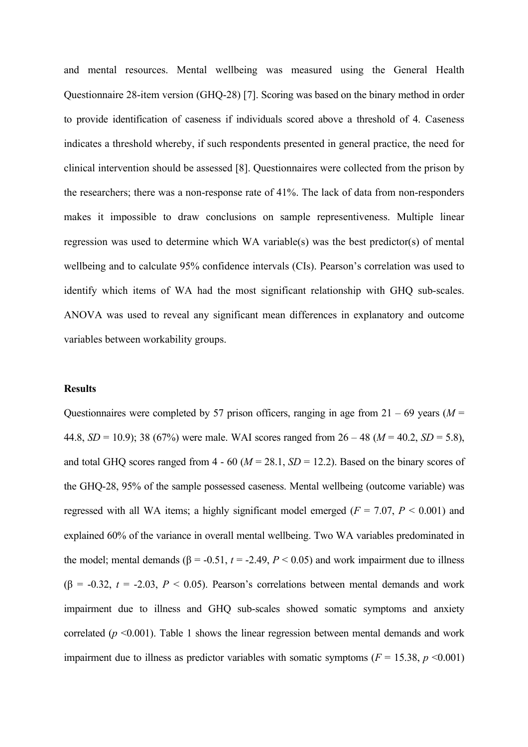and mental resources. Mental wellbeing was measured using the General Health Questionnaire 28-item version (GHQ-28) [7]. Scoring was based on the binary method in order to provide identification of caseness if individuals scored above a threshold of 4. Caseness indicates a threshold whereby, if such respondents presented in general practice, the need for clinical intervention should be assessed [8]. Questionnaires were collected from the prison by the researchers; there was a non-response rate of 41%. The lack of data from non-responders makes it impossible to draw conclusions on sample representiveness. Multiple linear regression was used to determine which WA variable(s) was the best predictor(s) of mental wellbeing and to calculate 95% confidence intervals (CIs). Pearson's correlation was used to identify which items of WA had the most significant relationship with GHQ sub-scales. ANOVA was used to reveal any significant mean differences in explanatory and outcome variables between workability groups.

#### **Results**

Questionnaires were completed by 57 prison officers, ranging in age from  $21 - 69$  years ( $M =$ 44.8, *SD* = 10.9); 38 (67%) were male. WAI scores ranged from  $26 - 48$  ( $M = 40.2$ , *SD* = 5.8), and total GHQ scores ranged from  $4 - 60$  ( $M = 28.1$ ,  $SD = 12.2$ ). Based on the binary scores of the GHQ-28, 95% of the sample possessed caseness. Mental wellbeing (outcome variable) was regressed with all WA items; a highly significant model emerged ( $F = 7.07$ ,  $P < 0.001$ ) and explained 60% of the variance in overall mental wellbeing. Two WA variables predominated in the model; mental demands ( $\beta$  = -0.51,  $t$  = -2.49,  $P$  < 0.05) and work impairment due to illness ( $\beta$  = -0.32,  $t$  = -2.03,  $P$  < 0.05). Pearson's correlations between mental demands and work impairment due to illness and GHQ sub-scales showed somatic symptoms and anxiety correlated  $(p \le 0.001)$ . Table 1 shows the linear regression between mental demands and work impairment due to illness as predictor variables with somatic symptoms  $(F = 15.38, p \le 0.001)$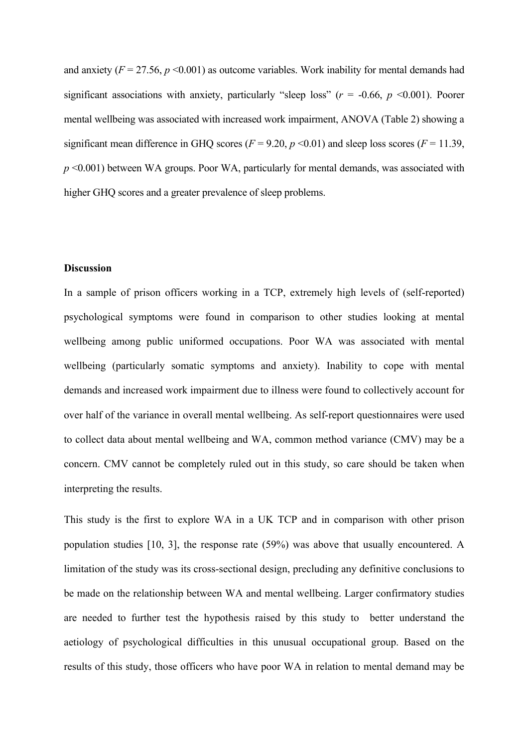and anxiety  $(F = 27.56, p \le 0.001)$  as outcome variables. Work inability for mental demands had significant associations with anxiety, particularly "sleep loss"  $(r = -0.66, p \le 0.001)$ . Poorer mental wellbeing was associated with increased work impairment, ANOVA (Table 2) showing a significant mean difference in GHQ scores ( $F = 9.20$ ,  $p \le 0.01$ ) and sleep loss scores ( $F = 11.39$ , *p* <0.001) between WA groups. Poor WA, particularly for mental demands, was associated with higher GHQ scores and a greater prevalence of sleep problems.

### **Discussion**

In a sample of prison officers working in a TCP, extremely high levels of (self-reported) psychological symptoms were found in comparison to other studies looking at mental wellbeing among public uniformed occupations. Poor WA was associated with mental wellbeing (particularly somatic symptoms and anxiety). Inability to cope with mental demands and increased work impairment due to illness were found to collectively account for over half of the variance in overall mental wellbeing. As self-report questionnaires were used to collect data about mental wellbeing and WA, common method variance (CMV) may be a concern. CMV cannot be completely ruled out in this study, so care should be taken when interpreting the results.

This study is the first to explore WA in a UK TCP and in comparison with other prison population studies [10, 3], the response rate (59%) was above that usually encountered. A limitation of the study was its cross-sectional design, precluding any definitive conclusions to be made on the relationship between WA and mental wellbeing. Larger confirmatory studies are needed to further test the hypothesis raised by this study to better understand the aetiology of psychological difficulties in this unusual occupational group. Based on the results of this study, those officers who have poor WA in relation to mental demand may be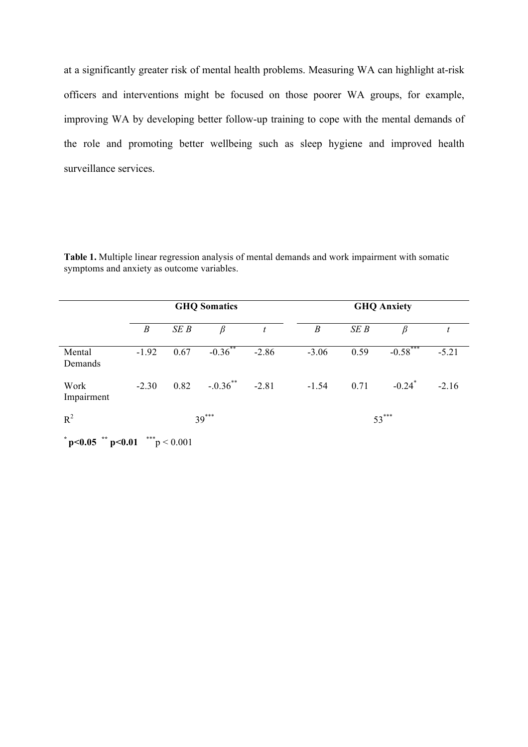at a significantly greater risk of mental health problems. Measuring WA can highlight at-risk officers and interventions might be focused on those poorer WA groups, for example, improving WA by developing better follow-up training to cope with the mental demands of the role and promoting better wellbeing such as sleep hygiene and improved health surveillance services.

**Table 1.** Multiple linear regression analysis of mental demands and work impairment with somatic symptoms and anxiety as outcome variables.

|                                           |                  | <b>GHQ Somatics</b> |                      |         | <b>GHQ Anxiety</b> |         |                      |         |  |
|-------------------------------------------|------------------|---------------------|----------------------|---------|--------------------|---------|----------------------|---------|--|
|                                           | $\boldsymbol{B}$ | SEB                 | $\beta$              | t       | B                  | SEB     | β                    |         |  |
| Mental<br>Demands                         | $-1.92$          | 0.67                | $-0.36$ **           | $-2.86$ | $-3.06$            | 0.59    | $-0.58***$           | $-5.21$ |  |
| Work<br>Impairment                        | $-2.30$          | 0.82                | $-.0.36$ ** $-.2.81$ |         | $-1.54$            | 0.71    | $-0.24$ <sup>*</sup> | $-2.16$ |  |
| $R^2$                                     |                  | $39***$             |                      |         |                    | $53***$ |                      |         |  |
| ***p < 0.001<br>$p$ < 0.05 $p$ + p < 0.01 |                  |                     |                      |         |                    |         |                      |         |  |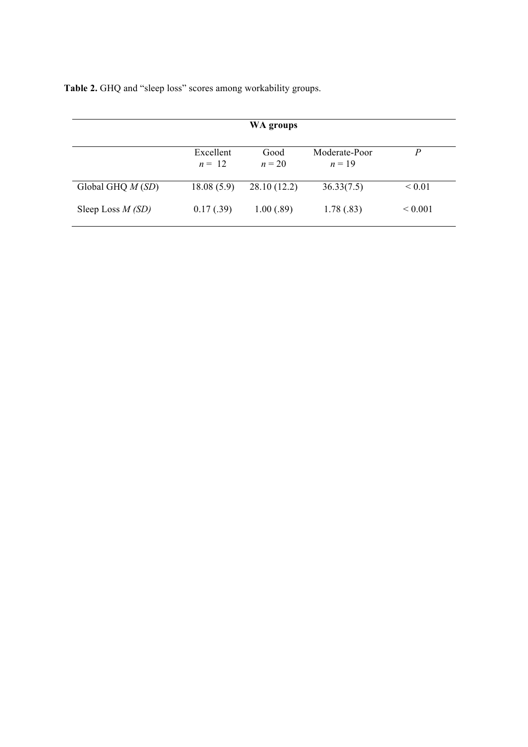**Table 2.** GHQ and "sleep loss" scores among workability groups.

|                    |                       | WA groups        |                           |                   |
|--------------------|-----------------------|------------------|---------------------------|-------------------|
|                    | Excellent<br>$n = 12$ | Good<br>$n = 20$ | Moderate-Poor<br>$n = 19$ | P                 |
| Global GHQ $M(SD)$ | 18.08(5.9)            | 28.10 (12.2)     | 36.33(7.5)                | ${}_{0.01}$       |
| Sleep Loss $M(SD)$ | 0.17(0.39)            | 1.00(.89)        | 1.78(.83)                 | ${}_{\leq 0.001}$ |